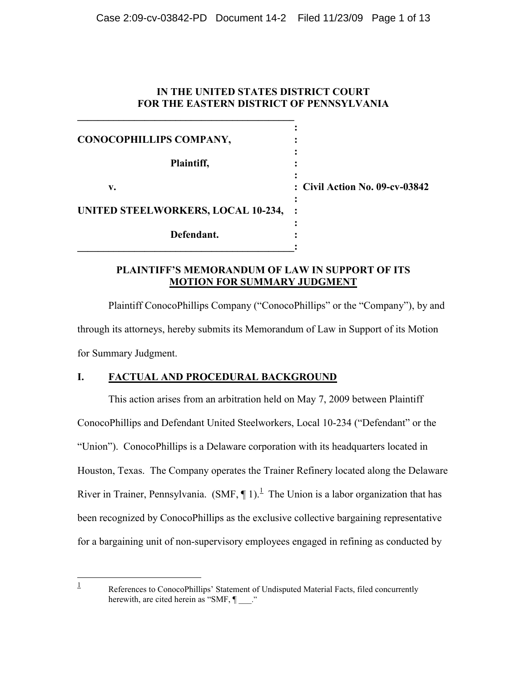# **IN THE UNITED STATES DISTRICT COURT FOR THE EASTERN DISTRICT OF PENNSYLVANIA**

| CONOCOPHILLIPS COMPANY,                   |                                |
|-------------------------------------------|--------------------------------|
| Plaintiff,                                |                                |
| v.                                        | : Civil Action No. 09-cv-03842 |
| <b>UNITED STEELWORKERS, LOCAL 10-234,</b> | $\ddot{\phantom{1}}$           |
| Defendant.                                |                                |

# **PLAINTIFF'S MEMORANDUM OF LAW IN SUPPORT OF ITS MOTION FOR SUMMARY JUDGMENT**

Plaintiff ConocoPhillips Company ("ConocoPhillips" or the "Company"), by and through its attorneys, hereby submits its Memorandum of Law in Support of its Motion for Summary Judgment.

# **I. FACTUAL AND PROCEDURAL BACKGROUND**

 $\frac{1}{1}$ 

**\_\_\_\_\_\_\_\_\_\_\_\_\_\_\_\_\_\_\_\_\_\_\_\_\_\_\_\_\_\_\_\_\_\_\_\_\_\_\_\_\_\_**

This action arises from an arbitration held on May 7, 2009 between Plaintiff ConocoPhillips and Defendant United Steelworkers, Local 10-234 ("Defendant" or the "Union"). ConocoPhillips is a Delaware corporation with its headquarters located in Houston, Texas. The Company operates the Trainer Refinery located along the Delaware River in Trainer, Pennsylvania.  $(SMF, \P 1)$ .<sup>1</sup> The Union is a labor organization that has been recognized by ConocoPhillips as the exclusive collective bargaining representative for a bargaining unit of non-supervisory employees engaged in refining as conducted by

References to ConocoPhillips' Statement of Undisputed Material Facts, filed concurrently herewith, are cited herein as "SMF,  $\P$  ..."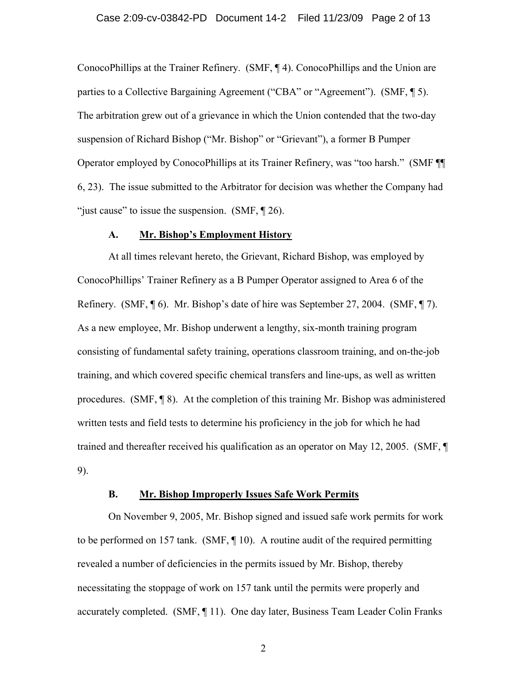ConocoPhillips at the Trainer Refinery. (SMF, ¶ 4). ConocoPhillips and the Union are parties to a Collective Bargaining Agreement ("CBA" or "Agreement"). (SMF, ¶ 5). The arbitration grew out of a grievance in which the Union contended that the two-day suspension of Richard Bishop ("Mr. Bishop" or "Grievant"), a former B Pumper Operator employed by ConocoPhillips at its Trainer Refinery, was "too harsh." (SMF ¶¶ 6, 23). The issue submitted to the Arbitrator for decision was whether the Company had "just cause" to issue the suspension.  $(SMF, \P 26)$ .

### **A. Mr. Bishop's Employment History**

At all times relevant hereto, the Grievant, Richard Bishop, was employed by ConocoPhillips' Trainer Refinery as a B Pumper Operator assigned to Area 6 of the Refinery. (SMF, ¶ 6). Mr. Bishop's date of hire was September 27, 2004. (SMF, ¶ 7). As a new employee, Mr. Bishop underwent a lengthy, six-month training program consisting of fundamental safety training, operations classroom training, and on-the-job training, and which covered specific chemical transfers and line-ups, as well as written procedures. (SMF, ¶ 8). At the completion of this training Mr. Bishop was administered written tests and field tests to determine his proficiency in the job for which he had trained and thereafter received his qualification as an operator on May 12, 2005. (SMF, ¶ 9).

## **B. Mr. Bishop Improperly Issues Safe Work Permits**

On November 9, 2005, Mr. Bishop signed and issued safe work permits for work to be performed on 157 tank. (SMF, ¶ 10). A routine audit of the required permitting revealed a number of deficiencies in the permits issued by Mr. Bishop, thereby necessitating the stoppage of work on 157 tank until the permits were properly and accurately completed. (SMF, ¶ 11). One day later, Business Team Leader Colin Franks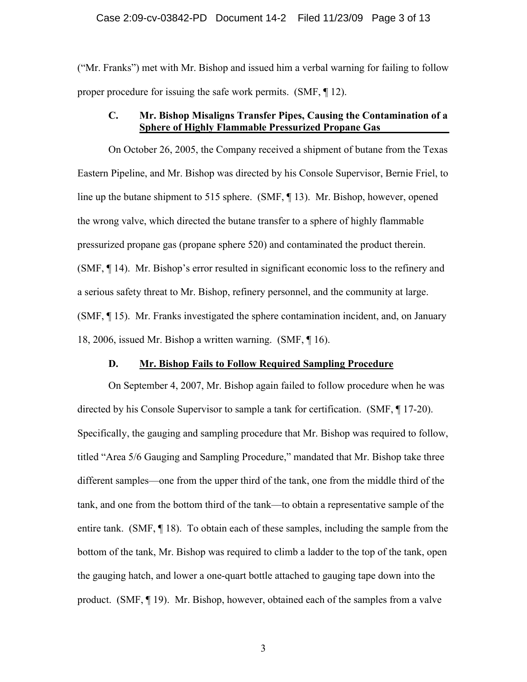("Mr. Franks") met with Mr. Bishop and issued him a verbal warning for failing to follow proper procedure for issuing the safe work permits. (SMF, ¶ 12).

# **C. Mr. Bishop Misaligns Transfer Pipes, Causing the Contamination of a Sphere of Highly Flammable Pressurized Propane Gas**

On October 26, 2005, the Company received a shipment of butane from the Texas Eastern Pipeline, and Mr. Bishop was directed by his Console Supervisor, Bernie Friel, to line up the butane shipment to 515 sphere. (SMF, ¶ 13). Mr. Bishop, however, opened the wrong valve, which directed the butane transfer to a sphere of highly flammable pressurized propane gas (propane sphere 520) and contaminated the product therein. (SMF, ¶ 14). Mr. Bishop's error resulted in significant economic loss to the refinery and a serious safety threat to Mr. Bishop, refinery personnel, and the community at large. (SMF, ¶ 15). Mr. Franks investigated the sphere contamination incident, and, on January 18, 2006, issued Mr. Bishop a written warning. (SMF, ¶ 16).

## **D. Mr. Bishop Fails to Follow Required Sampling Procedure**

On September 4, 2007, Mr. Bishop again failed to follow procedure when he was directed by his Console Supervisor to sample a tank for certification. (SMF, ¶ 17-20). Specifically, the gauging and sampling procedure that Mr. Bishop was required to follow, titled "Area 5/6 Gauging and Sampling Procedure," mandated that Mr. Bishop take three different samples—one from the upper third of the tank, one from the middle third of the tank, and one from the bottom third of the tank—to obtain a representative sample of the entire tank. (SMF, ¶ 18). To obtain each of these samples, including the sample from the bottom of the tank, Mr. Bishop was required to climb a ladder to the top of the tank, open the gauging hatch, and lower a one-quart bottle attached to gauging tape down into the product. (SMF, ¶ 19). Mr. Bishop, however, obtained each of the samples from a valve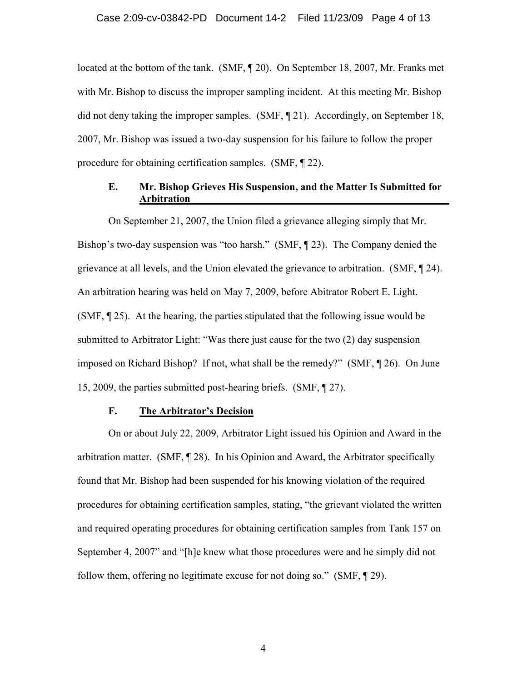located at the bottom of the tank. (SMF, ¶ 20). On September 18, 2007, Mr. Franks met with Mr. Bishop to discuss the improper sampling incident. At this meeting Mr. Bishop did not deny taking the improper samples. (SMF, ¶ 21). Accordingly, on September 18, 2007, Mr. Bishop was issued a two-day suspension for his failure to follow the proper procedure for obtaining certification samples. (SMF, ¶ 22).

## **E. Mr. Bishop Grieves His Suspension, and the Matter Is Submitted for Arbitration**

On September 21, 2007, the Union filed a grievance alleging simply that Mr. Bishop's two-day suspension was "too harsh." (SMF, ¶ 23). The Company denied the grievance at all levels, and the Union elevated the grievance to arbitration. (SMF, ¶ 24). An arbitration hearing was held on May 7, 2009, before Abitrator Robert E. Light. (SMF, ¶ 25). At the hearing, the parties stipulated that the following issue would be submitted to Arbitrator Light: "Was there just cause for the two (2) day suspension imposed on Richard Bishop? If not, what shall be the remedy?" (SMF, ¶ 26). On June 15, 2009, the parties submitted post-hearing briefs. (SMF, ¶ 27).

## **F. The Arbitrator's Decision**

On or about July 22, 2009, Arbitrator Light issued his Opinion and Award in the arbitration matter. (SMF, ¶ 28). In his Opinion and Award, the Arbitrator specifically found that Mr. Bishop had been suspended for his knowing violation of the required procedures for obtaining certification samples, stating, "the grievant violated the written and required operating procedures for obtaining certification samples from Tank 157 on September 4, 2007" and "[h]e knew what those procedures were and he simply did not follow them, offering no legitimate excuse for not doing so." (SMF, ¶ 29).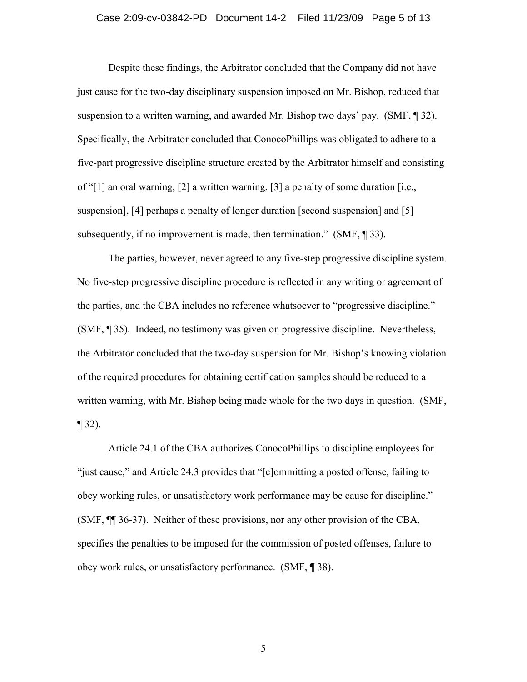#### Case 2:09-cv-03842-PD Document 14-2 Filed 11/23/09 Page 5 of 13

Despite these findings, the Arbitrator concluded that the Company did not have just cause for the two-day disciplinary suspension imposed on Mr. Bishop, reduced that suspension to a written warning, and awarded Mr. Bishop two days' pay. (SMF, ¶ 32). Specifically, the Arbitrator concluded that ConocoPhillips was obligated to adhere to a five-part progressive discipline structure created by the Arbitrator himself and consisting of "[1] an oral warning, [2] a written warning, [3] a penalty of some duration [i.e., suspension], [4] perhaps a penalty of longer duration [second suspension] and [5] subsequently, if no improvement is made, then termination." (SMF, 193).

The parties, however, never agreed to any five-step progressive discipline system. No five-step progressive discipline procedure is reflected in any writing or agreement of the parties, and the CBA includes no reference whatsoever to "progressive discipline." (SMF, ¶ 35). Indeed, no testimony was given on progressive discipline. Nevertheless, the Arbitrator concluded that the two-day suspension for Mr. Bishop's knowing violation of the required procedures for obtaining certification samples should be reduced to a written warning, with Mr. Bishop being made whole for the two days in question. (SMF,  $\P$  32).

Article 24.1 of the CBA authorizes ConocoPhillips to discipline employees for "just cause," and Article 24.3 provides that "[c]ommitting a posted offense, failing to obey working rules, or unsatisfactory work performance may be cause for discipline." (SMF, ¶¶ 36-37). Neither of these provisions, nor any other provision of the CBA, specifies the penalties to be imposed for the commission of posted offenses, failure to obey work rules, or unsatisfactory performance. (SMF, ¶ 38).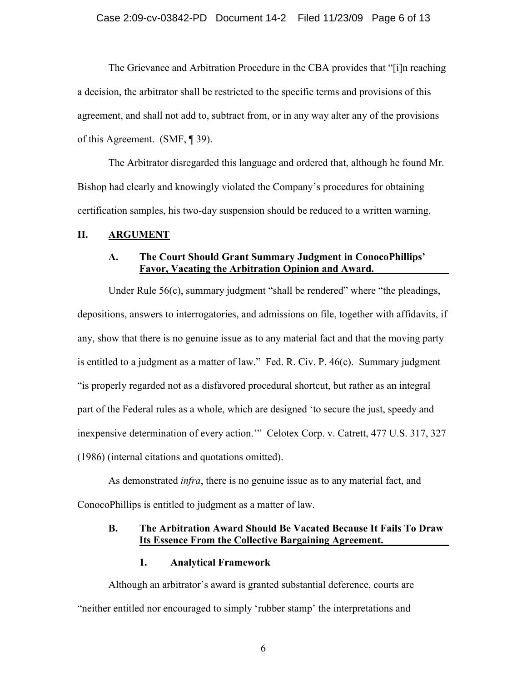### Case 2:09-cv-03842-PD Document 14-2 Filed 11/23/09 Page 6 of 13

The Grievance and Arbitration Procedure in the CBA provides that "[i]n reaching a decision, the arbitrator shall be restricted to the specific terms and provisions of this agreement, and shall not add to, subtract from, or in any way alter any of the provisions of this Agreement. (SMF, ¶ 39).

The Arbitrator disregarded this language and ordered that, although he found Mr. Bishop had clearly and knowingly violated the Company's procedures for obtaining certification samples, his two-day suspension should be reduced to a written warning.

### **II. ARGUMENT**

## **A. The Court Should Grant Summary Judgment in ConocoPhillips' Favor, Vacating the Arbitration Opinion and Award.**

Under Rule 56(c), summary judgment "shall be rendered" where "the pleadings, depositions, answers to interrogatories, and admissions on file, together with affidavits, if any, show that there is no genuine issue as to any material fact and that the moving party is entitled to a judgment as a matter of law." Fed. R. Civ. P. 46(c). Summary judgment "is properly regarded not as a disfavored procedural shortcut, but rather as an integral part of the Federal rules as a whole, which are designed 'to secure the just, speedy and inexpensive determination of every action." Celotex Corp. v. Catrett, 477 U.S. 317, 327 (1986) (internal citations and quotations omitted).

As demonstrated *infra*, there is no genuine issue as to any material fact, and ConocoPhillips is entitled to judgment as a matter of law.

## **B. The Arbitration Award Should Be Vacated Because It Fails To Draw Its Essence From the Collective Bargaining Agreement.**

### **1. Analytical Framework**

Although an arbitrator's award is granted substantial deference, courts are "neither entitled nor encouraged to simply 'rubber stamp' the interpretations and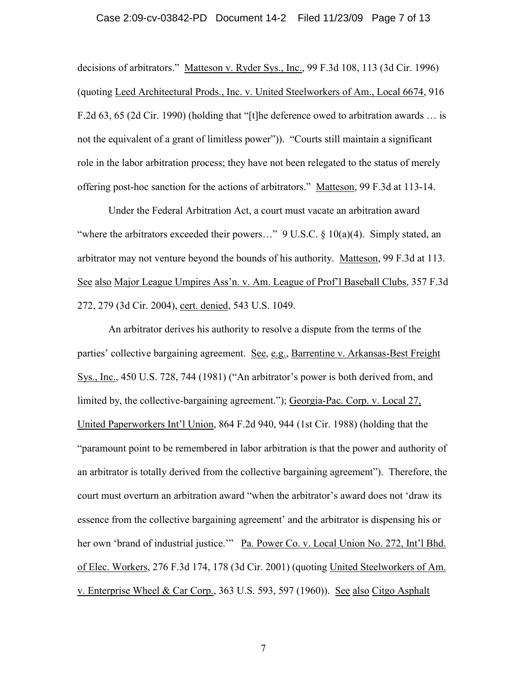#### Case 2:09-cv-03842-PD Document 14-2 Filed 11/23/09 Page 7 of 13

decisions of arbitrators." Matteson v. Ryder Sys., Inc., 99 F.3d 108, 113 (3d Cir. 1996) (quoting Leed Architectural Prods., Inc. v. United Steelworkers of Am., Local 6674, 916 F.2d 63, 65 (2d Cir. 1990) (holding that "[t]he deference owed to arbitration awards … is not the equivalent of a grant of limitless power")). "Courts still maintain a significant role in the labor arbitration process; they have not been relegated to the status of merely offering post-hoc sanction for the actions of arbitrators." Matteson, 99 F.3d at 113-14.

Under the Federal Arbitration Act, a court must vacate an arbitration award "where the arbitrators exceeded their powers..."  $9 \text{ U.S.C.} \$   $10(a)(4)$ . Simply stated, an arbitrator may not venture beyond the bounds of his authority. Matteson, 99 F.3d at 113. See also Major League Umpires Ass'n. v. Am. League of Prof'l Baseball Clubs, 357 F.3d 272, 279 (3d Cir. 2004), cert. denied, 543 U.S. 1049.

An arbitrator derives his authority to resolve a dispute from the terms of the parties' collective bargaining agreement. See, e.g., Barrentine v. Arkansas-Best Freight Sys., Inc., 450 U.S. 728, 744 (1981) ("An arbitrator's power is both derived from, and limited by, the collective-bargaining agreement."); Georgia-Pac. Corp. v. Local 27, United Paperworkers Int'l Union, 864 F.2d 940, 944 (1st Cir. 1988) (holding that the "paramount point to be remembered in labor arbitration is that the power and authority of an arbitrator is totally derived from the collective bargaining agreement"). Therefore, the court must overturn an arbitration award "when the arbitrator's award does not 'draw its essence from the collective bargaining agreement' and the arbitrator is dispensing his or her own 'brand of industrial justice.'" Pa. Power Co. v. Local Union No. 272, Int'l Bhd. of Elec. Workers, 276 F.3d 174, 178 (3d Cir. 2001) (quoting United Steelworkers of Am. v. Enterprise Wheel & Car Corp., 363 U.S. 593, 597 (1960)). See also Citgo Asphalt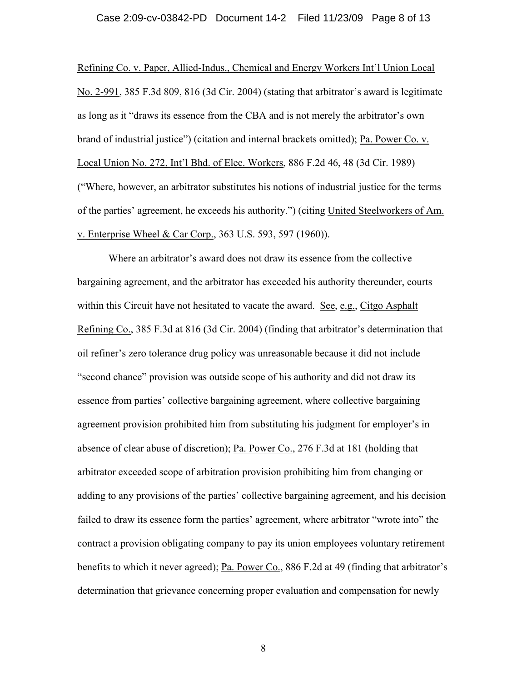#### Case 2:09-cv-03842-PD Document 14-2 Filed 11/23/09 Page 8 of 13

Refining Co. v. Paper, Allied-Indus., Chemical and Energy Workers Int'l Union Local No. 2-991, 385 F.3d 809, 816 (3d Cir. 2004) (stating that arbitrator's award is legitimate as long as it "draws its essence from the CBA and is not merely the arbitrator's own brand of industrial justice") (citation and internal brackets omitted); Pa. Power Co. v. Local Union No. 272, Int'l Bhd. of Elec. Workers, 886 F.2d 46, 48 (3d Cir. 1989) ("Where, however, an arbitrator substitutes his notions of industrial justice for the terms of the parties' agreement, he exceeds his authority.") (citing United Steelworkers of Am. v. Enterprise Wheel & Car Corp., 363 U.S. 593, 597 (1960)).

Where an arbitrator's award does not draw its essence from the collective bargaining agreement, and the arbitrator has exceeded his authority thereunder, courts within this Circuit have not hesitated to vacate the award. See, e.g., Citgo Asphalt Refining Co., 385 F.3d at 816 (3d Cir. 2004) (finding that arbitrator's determination that oil refiner's zero tolerance drug policy was unreasonable because it did not include "second chance" provision was outside scope of his authority and did not draw its essence from parties' collective bargaining agreement, where collective bargaining agreement provision prohibited him from substituting his judgment for employer's in absence of clear abuse of discretion); Pa. Power Co., 276 F.3d at 181 (holding that arbitrator exceeded scope of arbitration provision prohibiting him from changing or adding to any provisions of the parties' collective bargaining agreement, and his decision failed to draw its essence form the parties' agreement, where arbitrator "wrote into" the contract a provision obligating company to pay its union employees voluntary retirement benefits to which it never agreed); Pa. Power Co., 886 F.2d at 49 (finding that arbitrator's determination that grievance concerning proper evaluation and compensation for newly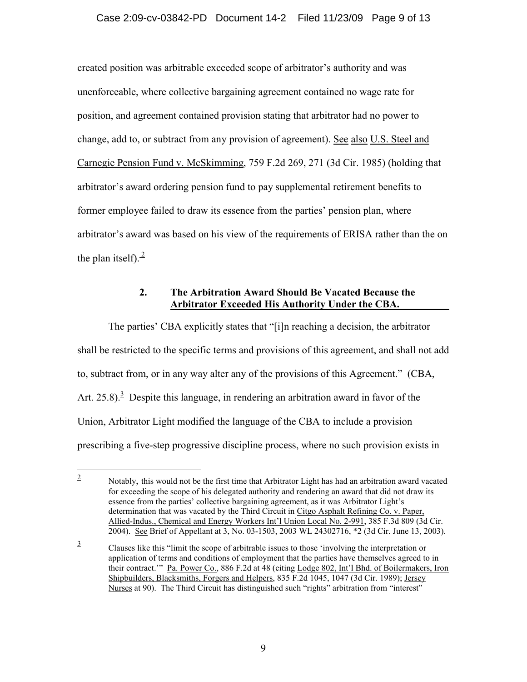created position was arbitrable exceeded scope of arbitrator's authority and was unenforceable, where collective bargaining agreement contained no wage rate for position, and agreement contained provision stating that arbitrator had no power to change, add to, or subtract from any provision of agreement). See also U.S. Steel and Carnegie Pension Fund v. McSkimming, 759 F.2d 269, 271 (3d Cir. 1985) (holding that arbitrator's award ordering pension fund to pay supplemental retirement benefits to former employee failed to draw its essence from the parties' pension plan, where arbitrator's award was based on his view of the requirements of ERISA rather than the on the plan itself). $\frac{2}{3}$ 

# **2. The Arbitration Award Should Be Vacated Because the Arbitrator Exceeded His Authority Under the CBA.**

The parties' CBA explicitly states that "[i]n reaching a decision, the arbitrator shall be restricted to the specific terms and provisions of this agreement, and shall not add to, subtract from, or in any way alter any of the provisions of this Agreement." (CBA, Art. 25.8).<sup>3</sup> Despite this language, in rendering an arbitration award in favor of the Union, Arbitrator Light modified the language of the CBA to include a provision prescribing a five-step progressive discipline process, where no such provision exists in

 2 Notably, this would not be the first time that Arbitrator Light has had an arbitration award vacated for exceeding the scope of his delegated authority and rendering an award that did not draw its essence from the parties' collective bargaining agreement, as it was Arbitrator Light's determination that was vacated by the Third Circuit in Citgo Asphalt Refining Co. v. Paper, Allied-Indus., Chemical and Energy Workers Int'l Union Local No. 2-991, 385 F.3d 809 (3d Cir. 2004). See Brief of Appellant at 3, No. 03-1503, 2003 WL 24302716, \*2 (3d Cir. June 13, 2003).

<sup>3</sup> Clauses like this "limit the scope of arbitrable issues to those 'involving the interpretation or application of terms and conditions of employment that the parties have themselves agreed to in their contract." Pa. Power Co., 886 F.2d at 48 (citing Lodge 802, Int'l Bhd. of Boilermakers, Iron Shipbuilders, Blacksmiths, Forgers and Helpers, 835 F.2d 1045, 1047 (3d Cir. 1989); Jersey Nurses at 90). The Third Circuit has distinguished such "rights" arbitration from "interest"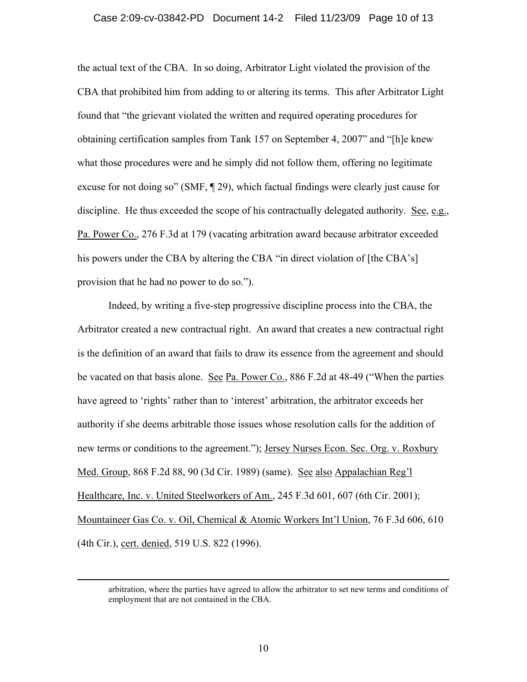### Case 2:09-cv-03842-PD Document 14-2 Filed 11/23/09 Page 10 of 13

the actual text of the CBA. In so doing, Arbitrator Light violated the provision of the CBA that prohibited him from adding to or altering its terms. This after Arbitrator Light found that "the grievant violated the written and required operating procedures for obtaining certification samples from Tank 157 on September 4, 2007" and "[h]e knew what those procedures were and he simply did not follow them, offering no legitimate excuse for not doing so" (SMF, ¶ 29), which factual findings were clearly just cause for discipline. He thus exceeded the scope of his contractually delegated authority. See, e.g., Pa. Power Co., 276 F.3d at 179 (vacating arbitration award because arbitrator exceeded his powers under the CBA by altering the CBA "in direct violation of [the CBA's] provision that he had no power to do so.").

Indeed, by writing a five-step progressive discipline process into the CBA, the Arbitrator created a new contractual right. An award that creates a new contractual right is the definition of an award that fails to draw its essence from the agreement and should be vacated on that basis alone. See Pa. Power Co., 886 F.2d at 48-49 ("When the parties have agreed to 'rights' rather than to 'interest' arbitration, the arbitrator exceeds her authority if she deems arbitrable those issues whose resolution calls for the addition of new terms or conditions to the agreement."); Jersey Nurses Econ. Sec. Org. v. Roxbury Med. Group, 868 F.2d 88, 90 (3d Cir. 1989) (same). See also Appalachian Reg'l Healthcare, Inc. v. United Steelworkers of Am., 245 F.3d 601, 607 (6th Cir. 2001); Mountaineer Gas Co. v. Oil, Chemical & Atomic Workers Int'l Union, 76 F.3d 606, 610 (4th Cir.), cert. denied, 519 U.S. 822 (1996).

 $\overline{a}$ 

arbitration, where the parties have agreed to allow the arbitrator to set new terms and conditions of employment that are not contained in the CBA.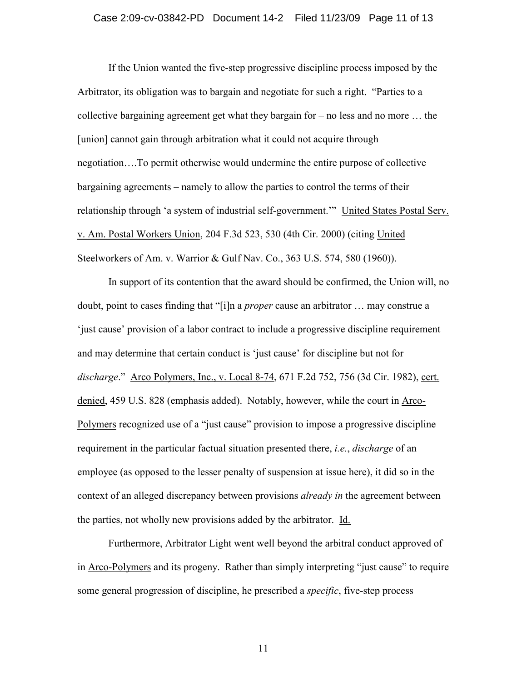If the Union wanted the five-step progressive discipline process imposed by the Arbitrator, its obligation was to bargain and negotiate for such a right. "Parties to a collective bargaining agreement get what they bargain for – no less and no more … the [union] cannot gain through arbitration what it could not acquire through negotiation….To permit otherwise would undermine the entire purpose of collective bargaining agreements – namely to allow the parties to control the terms of their relationship through 'a system of industrial self-government.'" United States Postal Serv. v. Am. Postal Workers Union, 204 F.3d 523, 530 (4th Cir. 2000) (citing United Steelworkers of Am. v. Warrior & Gulf Nav. Co., 363 U.S. 574, 580 (1960)).

In support of its contention that the award should be confirmed, the Union will, no doubt, point to cases finding that "[i]n a *proper* cause an arbitrator … may construe a 'just cause' provision of a labor contract to include a progressive discipline requirement and may determine that certain conduct is 'just cause' for discipline but not for *discharge*." Arco Polymers, Inc., v. Local 8-74, 671 F.2d 752, 756 (3d Cir. 1982), cert. denied, 459 U.S. 828 (emphasis added). Notably, however, while the court in Arco-Polymers recognized use of a "just cause" provision to impose a progressive discipline requirement in the particular factual situation presented there, *i.e.*, *discharge* of an employee (as opposed to the lesser penalty of suspension at issue here), it did so in the context of an alleged discrepancy between provisions *already in* the agreement between the parties, not wholly new provisions added by the arbitrator. Id.

Furthermore, Arbitrator Light went well beyond the arbitral conduct approved of in Arco-Polymers and its progeny. Rather than simply interpreting "just cause" to require some general progression of discipline, he prescribed a *specific*, five-step process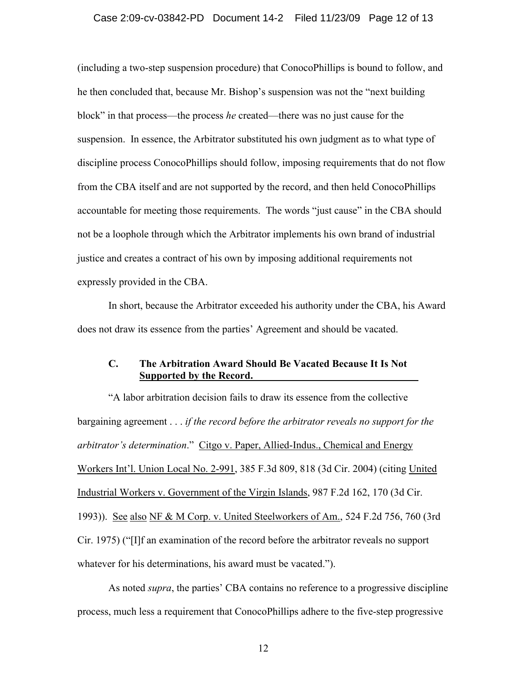#### Case 2:09-cv-03842-PD Document 14-2 Filed 11/23/09 Page 12 of 13

(including a two-step suspension procedure) that ConocoPhillips is bound to follow, and he then concluded that, because Mr. Bishop's suspension was not the "next building block" in that process—the process *he* created—there was no just cause for the suspension. In essence, the Arbitrator substituted his own judgment as to what type of discipline process ConocoPhillips should follow, imposing requirements that do not flow from the CBA itself and are not supported by the record, and then held ConocoPhillips accountable for meeting those requirements. The words "just cause" in the CBA should not be a loophole through which the Arbitrator implements his own brand of industrial justice and creates a contract of his own by imposing additional requirements not expressly provided in the CBA.

In short, because the Arbitrator exceeded his authority under the CBA, his Award does not draw its essence from the parties' Agreement and should be vacated.

## **C. The Arbitration Award Should Be Vacated Because It Is Not Supported by the Record.**

"A labor arbitration decision fails to draw its essence from the collective bargaining agreement . . . *if the record before the arbitrator reveals no support for the arbitrator's determination*." Citgo v. Paper, Allied-Indus., Chemical and Energy Workers Int'l. Union Local No. 2-991, 385 F.3d 809, 818 (3d Cir. 2004) (citing United Industrial Workers v. Government of the Virgin Islands, 987 F.2d 162, 170 (3d Cir. 1993)). See also NF & M Corp. v. United Steelworkers of Am., 524 F.2d 756, 760 (3rd Cir. 1975) ("[I]f an examination of the record before the arbitrator reveals no support whatever for his determinations, his award must be vacated.").

As noted *supra*, the parties' CBA contains no reference to a progressive discipline process, much less a requirement that ConocoPhillips adhere to the five-step progressive